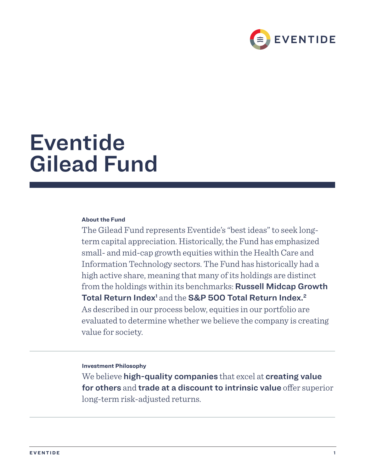

# Eventide Gilead Fund

# **About the Fund**

The Gilead Fund represents Eventide's "best ideas" to seek longterm capital appreciation. Historically, the Fund has emphasized small- and mid-cap growth equities within the Health Care and Information Technology sectors. The Fund has historically had a high active share, meaning that many of its holdings are distinct from the holdings within its benchmarks: Russell Midcap Growth Total Return Index<sup>1</sup> and the S&P 500 Total Return Index.<sup>2</sup> As described in our process below, equities in our portfolio are evaluated to determine whether we believe the company is creating value for society.

# **Investment Philosophy**

We believe **high-quality companies** that excel at **creating value** for others and trade at a discount to intrinsic value offer superior long-term risk-adjusted returns.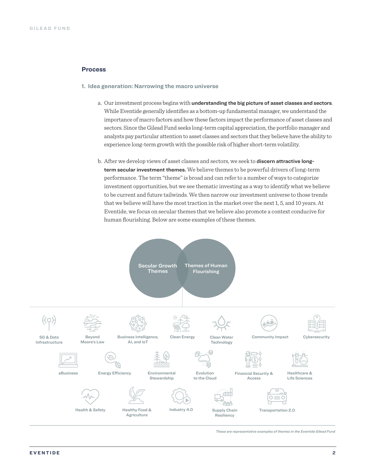# **Process**

## **1. Idea generation: Narrowing the macro universe**

- a. Our investment process begins with understanding the big picture of asset classes and sectors. While Eventide generally identifies as a bottom-up fundamental manager, we understand the importance of macro factors and how these factors impact the performance of asset classes and sectors. Since the Gilead Fund seeks long-term capital appreciation, the portfolio manager and analysts pay particular attention to asset classes and sectors that they believe have the ability to experience long-term growth with the possible risk of higher short-term volatility.
- b. After we develop views of asset classes and sectors, we seek to **discern attractive long**term secular investment themes. We believe themes to be powerful drivers of long-term performance. The term "theme" is broad and can refer to a number of ways to categorize investment opportunities, but we see thematic investing as a way to identify what we believe to be current and future tailwinds. We then narrow our investment universe to those trends that we believe will have the most traction in the market over the next 1, 5, and 10 years. At Eventide, we focus on secular themes that we believe also promote a context conducive for human flourishing. Below are some examples of these themes.



*These are representative examples of themes in the Eventide Gilead Fund*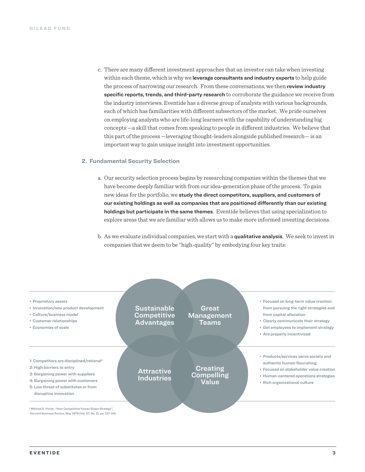c. There are many different investment approaches that an investor can take when investing within each theme, which is why we leverage consultants and industry experts to help guide the process of narrowing our research. From these conversations, we then review industry specific reports, trends, and third-party research to corroborate the guidance we receive from the industry interviews. Eventide has a diverse group of analysts with various backgrounds, each of which has familiarities with different subsectors of the market. We pride ourselves on employing analysts who are life-long learners with the capability of understanding big concepts —a skill that comes from speaking to people in different industries. We believe that this part of the process —leveraging thought-leaders alongside published research— is an important way to gain unique insight into investment opportunities.

# **2. Fundamental Security Selection**

- a. Our security selection process begins by researching companies within the themes that we have become deeply familiar with from our idea-generation phase of the process. To gain new ideas for the portfolio, we study the direct competitors, suppliers, and customers of our existing holdings as well as companies that are positioned differently than our existing holdings but participate in the same themes. Eventide believes that using specialization to explore areas that we are familiar with allows us to make more informed investing decisions.
- b. As we evaluate individual companies, we start with a qualitative analysis. We seek to invest in companies that we deem to be "high-quality" by embodying four key traits:



Harvard Business Review, May 1979 (Vol. 57, No. 2), pp. 137-145.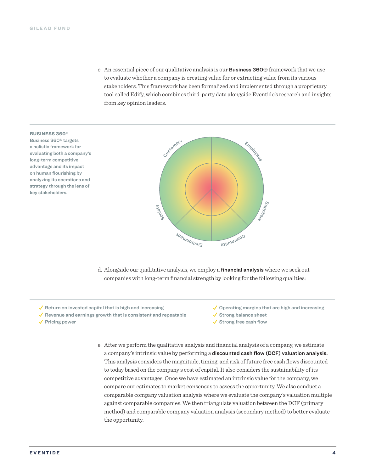c. An essential piece of our qualitative analysis is our Business 360® framework that we use to evaluate whether a company is creating value for or extracting value from its various stakeholders. This framework has been formalized and implemented through a proprietary tool called Edify, which combines third-party data alongside Eventide's research and insights from key opinion leaders.

#### BUSINESS 360®

Business 360® targets a holistic framework for evaluating both a company's long-term competitive advantage and its impact on human flourishing by analyzing its operations and strategy through the lens of key stakeholders.



- d. Alongside our qualitative analysis, we employ a financial analysis where we seek out companies with long-term financial strength by looking for the following qualities:
- $\checkmark$  Return on invested capital that is high and increasing
- $\checkmark$  Revenue and earnings growth that is consistent and repeatable
- $\checkmark$  Pricing power
- $\checkmark$  Operating margins that are high and increasing
- $\checkmark$  Strong balance sheet
- $\checkmark$  Strong free cash flow
- e. After we perform the qualitative analysis and financial analysis of a company, we estimate a company's intrinsic value by performing a discounted cash flow (DCF) valuation analysis. This analysis considers the magnitude, timing, and risk of future free cash flows discounted to today based on the company's cost of capital. It also considers the sustainability of its competitive advantages. Once we have estimated an intrinsic value for the company, we compare our estimates to market consensus to assess the opportunity. We also conduct a comparable company valuation analysis where we evaluate the company's valuation multiple against comparable companies. We then triangulate valuation between the DCF (primary method) and comparable company valuation analysis (secondary method) to better evaluate the opportunity.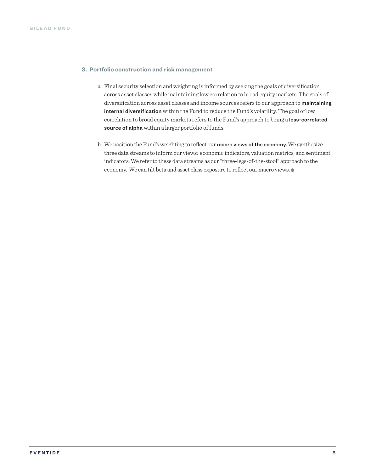# **3. Portfolio construction and risk management**

- a. Final security selection and weighting is informed by seeking the goals of diversification across asset classes while maintaining low correlation to broad equity markets. The goals of diversification across asset classes and income sources refers to our approach to maintaining internal diversification within the Fund to reduce the Fund's volatility. The goal of low correlation to broad equity markets refers to the Fund's approach to being a less-correlated source of alpha within a larger portfolio of funds.
- b. We position the Fund's weighting to reflect our macro views of the economy. We synthesize three data streams to inform our views: economic indicators, valuation metrics, and sentiment indicators. We refer to these data streams as our "three-legs-of-the-stool" approach to the economy. We can tilt beta and asset class exposure to reflect our macro views.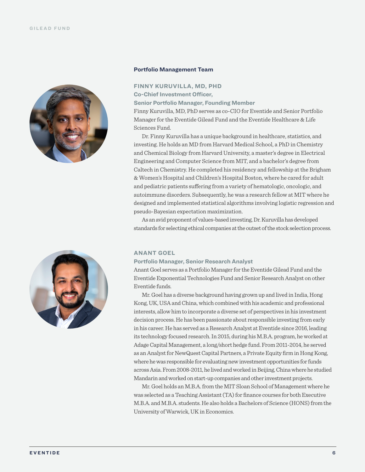



## **Portfolio Management Team**

**FINNY KURUVILLA, MD, PHD Co-Chief Investment Officer, Senior Portfolio Manager, Founding Member**

Finny Kuruvilla, MD, PhD serves as co-CIO for Eventide and Senior Portfolio Manager for the Eventide Gilead Fund and the Eventide Healthcare & Life Sciences Fund.

Dr. Finny Kuruvilla has a unique background in healthcare, statistics, and investing. He holds an MD from Harvard Medical School, a PhD in Chemistry and Chemical Biology from Harvard University, a master's degree in Electrical Engineering and Computer Science from MIT, and a bachelor's degree from Caltech in Chemistry. He completed his residency and fellowship at the Brigham & Women's Hospital and Children's Hospital Boston, where he cared for adult and pediatric patients suffering from a variety of hematologic, oncologic, and autoimmune disorders. Subsequently, he was a research fellow at MIT where he designed and implemented statistical algorithms involving logistic regression and pseudo-Bayesian expectation maximization.

As an avid proponent of values-based investing, Dr. Kuruvilla has developed standards for selecting ethical companies at the outset of the stock selection process.

## **ANANT GOEL**

## **Portfolio Manager, Senior Research Analyst**

Anant Goel serves as a Portfolio Manager for the Eventide Gilead Fund and the Eventide Exponential Technologies Fund and Senior Research Analyst on other Eventide funds.

Mr. Goel has a diverse background having grown up and lived in India, Hong Kong, UK, USA and China, which combined with his academic and professional interests, allow him to incorporate a diverse set of perspectives in his investment decision process. He has been passionate about responsible investing from early in his career. He has served as a Research Analyst at Eventide since 2016, leading its technology focused research. In 2015, during his M.B.A. program, he worked at Adage Capital Management, a long/short hedge fund. From 2011-2014, he served as an Analyst for NewQuest Capital Partners, a Private Equity firm in Hong Kong, where he was responsible for evaluating new investment opportunities for funds across Asia. From 2008-2011, he lived and worked in Beijing, China where he studied Mandarin and worked on start-up companies and other investment projects.

Mr. Goel holds an M.B.A. from the MIT Sloan School of Management where he was selected as a Teaching Assistant (TA) for finance courses for both Executive M.B.A. and M.B.A. students. He also holds a Bachelors of Science (HONS) from the University of Warwick, UK in Economics.